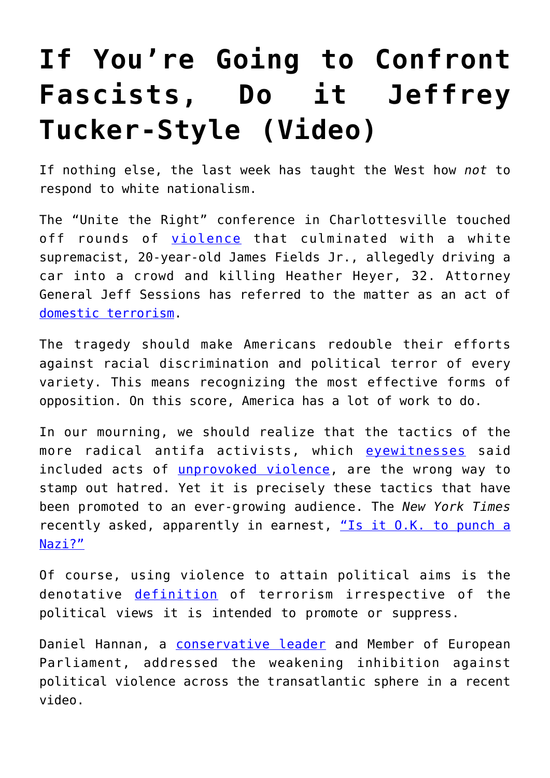## **[If You're Going to Confront](https://intellectualtakeout.org/2017/08/if-youre-going-to-confront-fascists-do-it-jeffrey-tucker-style-video/) [Fascists, Do it Jeffrey](https://intellectualtakeout.org/2017/08/if-youre-going-to-confront-fascists-do-it-jeffrey-tucker-style-video/) [Tucker-Style \(Video\)](https://intellectualtakeout.org/2017/08/if-youre-going-to-confront-fascists-do-it-jeffrey-tucker-style-video/)**

If nothing else, the last week has taught the West how *not* to respond to white nationalism.

The "Unite the Right" conference in Charlottesville touched off rounds of [violence](http://www.nationalreview.com/corner/450441/both-sides-violent-charlottesville) that culminated with a white supremacist, 20-year-old James Fields Jr., allegedly driving a car into a crowd and killing Heather Heyer, 32. Attorney General Jeff Sessions has referred to the matter as an act of [domestic terrorism.](http://www.newsweek.com/jeff-sessions-just-called-charlottesville-attack-what-trump-wont-domestic-650434)

The tragedy should make Americans redouble their efforts against racial discrimination and political terror of every variety. This means recognizing the most effective forms of opposition. On this score, America has a lot of work to do.

In our mourning, we should realize that the tactics of the more radical antifa activists, which [eyewitnesses](http://dailycaller.com/2017/08/16/brutal-examples-of-violence-that-occurred-by-both-sides-in-charlottesville-video/) said included acts of *unprovoked violence*, are the wrong way to stamp out hatred. Yet it is precisely these tactics that have been promoted to an ever-growing audience. The *New York Times* recently asked, apparently in earnest, ["Is it O.K. to punch a](https://www.nytimes.com/2017/01/21/us/politics/richard-spencer-punched-attack.html) [Nazi?"](https://www.nytimes.com/2017/01/21/us/politics/richard-spencer-punched-attack.html)

Of course, using violence to attain political aims is the denotative [definition](https://en.oxforddictionaries.com/definition/terrorism) of terrorism irrespective of the political views it is intended to promote or suppress.

Daniel Hannan, a [conservative leader](https://theconservative.online) and Member of European Parliament, addressed the weakening inhibition against political violence across the transatlantic sphere in a recent video.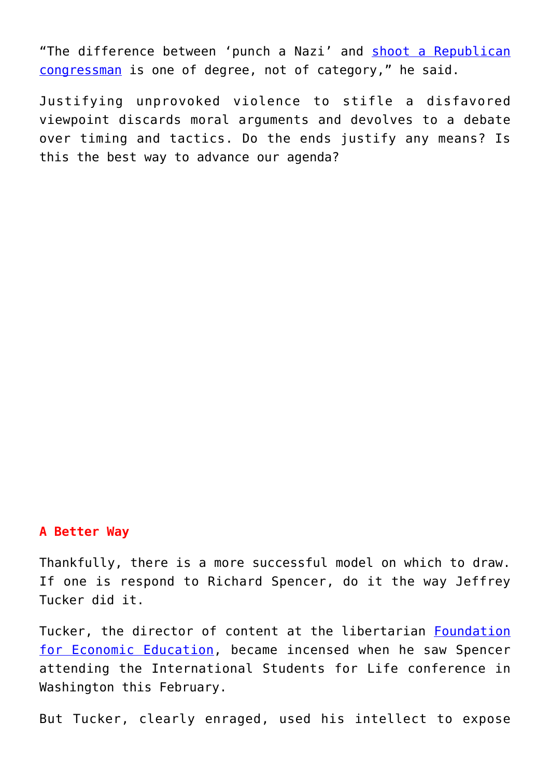"The difference between 'punch a Nazi' and [shoot a Republican](https://www.nytimes.com/2017/06/14/us/steve-scalise-congress-shot-alexandria-virginia.html?mcubz=3) [congressman](https://www.nytimes.com/2017/06/14/us/steve-scalise-congress-shot-alexandria-virginia.html?mcubz=3) is one of degree, not of category," he said.

Justifying unprovoked violence to stifle a disfavored viewpoint discards moral arguments and devolves to a debate over timing and tactics. Do the ends justify any means? Is this the best way to advance our agenda?

## **A Better Way**

Thankfully, there is a more successful model on which to draw. If one is respond to Richard Spencer, do it the way Jeffrey Tucker did it.

Tucker, the director of content at the libertarian [Foundation](https://fee.org) [for Economic Education,](https://fee.org) became incensed when he saw Spencer attending the International Students for Life conference in Washington this February.

But Tucker, clearly enraged, used his intellect to expose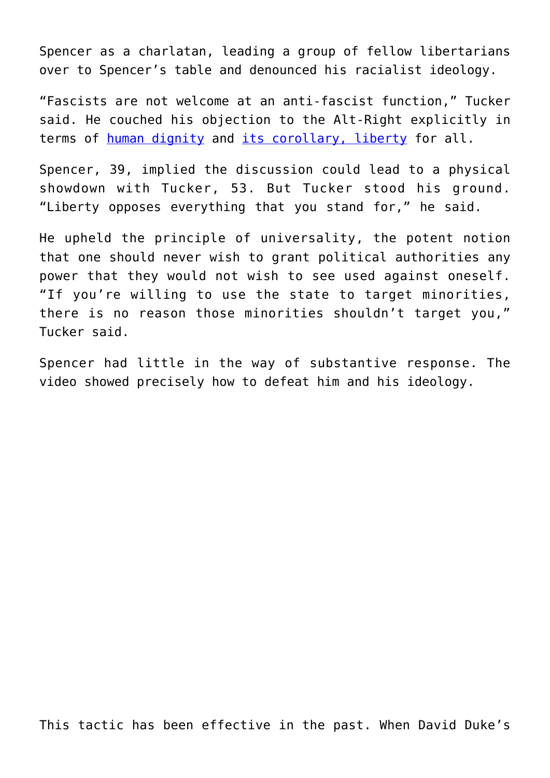Spencer as a charlatan, leading a group of fellow libertarians over to Spencer's table and denounced his racialist ideology.

"Fascists are not welcome at an anti-fascist function," Tucker said. He couched his objection to the Alt-Right explicitly in terms of [human dignity](http://blog.acton.org/archives/97340-classical-high-school-students-say-this-attribute-defines-the-west.html) and [its corollary, liberty](https://blog.acton.org/archives/94706-the-anthropology-of-liberty.html) for all.

Spencer, 39, implied the discussion could lead to a physical showdown with Tucker, 53. But Tucker stood his ground. "Liberty opposes everything that you stand for," he said.

He upheld the principle of universality, the potent notion that one should never wish to grant political authorities any power that they would not wish to see used against oneself. "If you're willing to use the state to target minorities, there is no reason those minorities shouldn't target you," Tucker said.

Spencer had little in the way of substantive response. The video showed precisely how to defeat him and his ideology.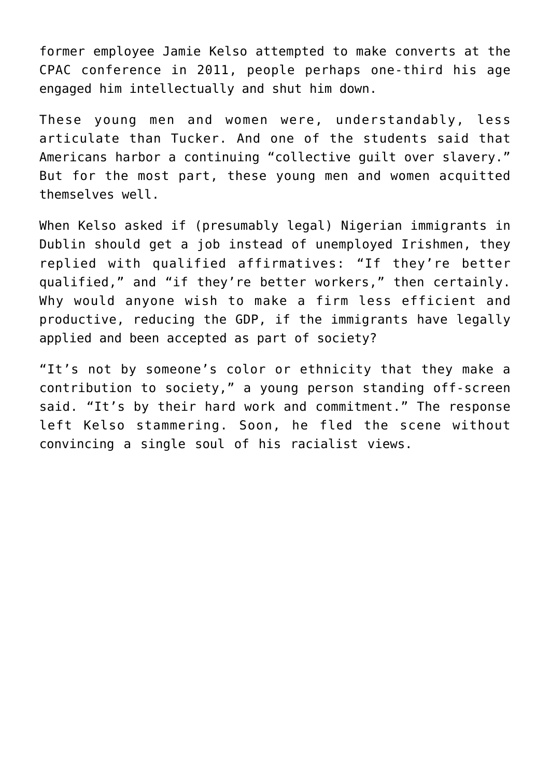former employee Jamie Kelso attempted to make converts at the CPAC conference in 2011, people perhaps one-third his age engaged him intellectually and shut him down.

These young men and women were, understandably, less articulate than Tucker. And one of the students said that Americans harbor a continuing "collective guilt over slavery." But for the most part, these young men and women acquitted themselves well.

When Kelso asked if (presumably legal) Nigerian immigrants in Dublin should get a job instead of unemployed Irishmen, they replied with qualified affirmatives: "If they're better qualified," and "if they're better workers," then certainly. Why would anyone wish to make a firm less efficient and productive, reducing the GDP, if the immigrants have legally applied and been accepted as part of society?

"It's not by someone's color or ethnicity that they make a contribution to society," a young person standing off-screen said. "It's by their hard work and commitment." The response left Kelso stammering. Soon, he fled the scene without convincing a single soul of his racialist views.